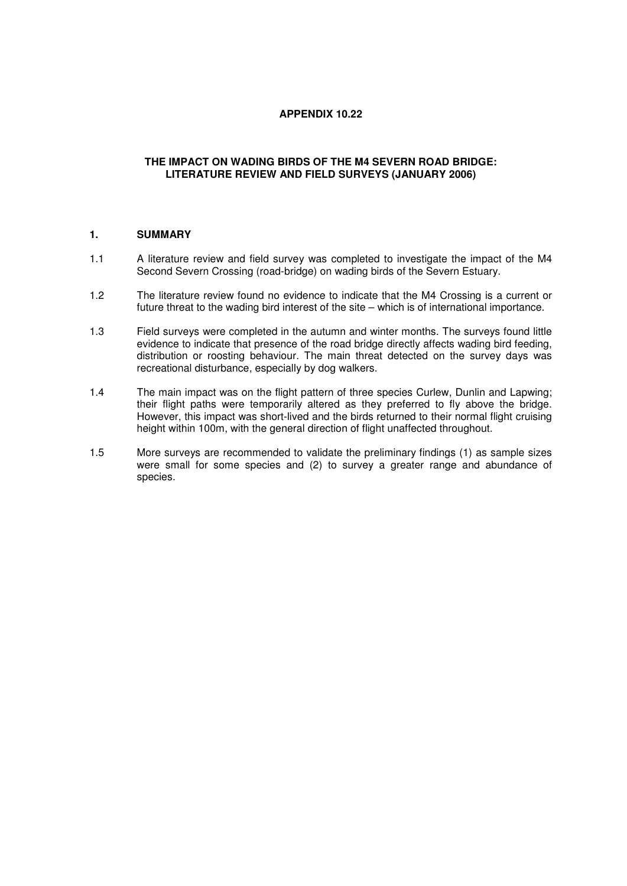# **APPENDIX 10.22**

## **THE IMPACT ON WADING BIRDS OF THE M4 SEVERN ROAD BRIDGE: LITERATURE REVIEW AND FIELD SURVEYS (JANUARY 2006)**

#### **1. SUMMARY**

- 1.1 A literature review and field survey was completed to investigate the impact of the M4 Second Severn Crossing (road-bridge) on wading birds of the Severn Estuary.
- 1.2 The literature review found no evidence to indicate that the M4 Crossing is a current or future threat to the wading bird interest of the site – which is of international importance.
- 1.3 Field surveys were completed in the autumn and winter months. The surveys found little evidence to indicate that presence of the road bridge directly affects wading bird feeding, distribution or roosting behaviour. The main threat detected on the survey days was recreational disturbance, especially by dog walkers.
- 1.4 The main impact was on the flight pattern of three species Curlew, Dunlin and Lapwing; their flight paths were temporarily altered as they preferred to fly above the bridge. However, this impact was short-lived and the birds returned to their normal flight cruising height within 100m, with the general direction of flight unaffected throughout.
- 1.5 More surveys are recommended to validate the preliminary findings (1) as sample sizes were small for some species and (2) to survey a greater range and abundance of species.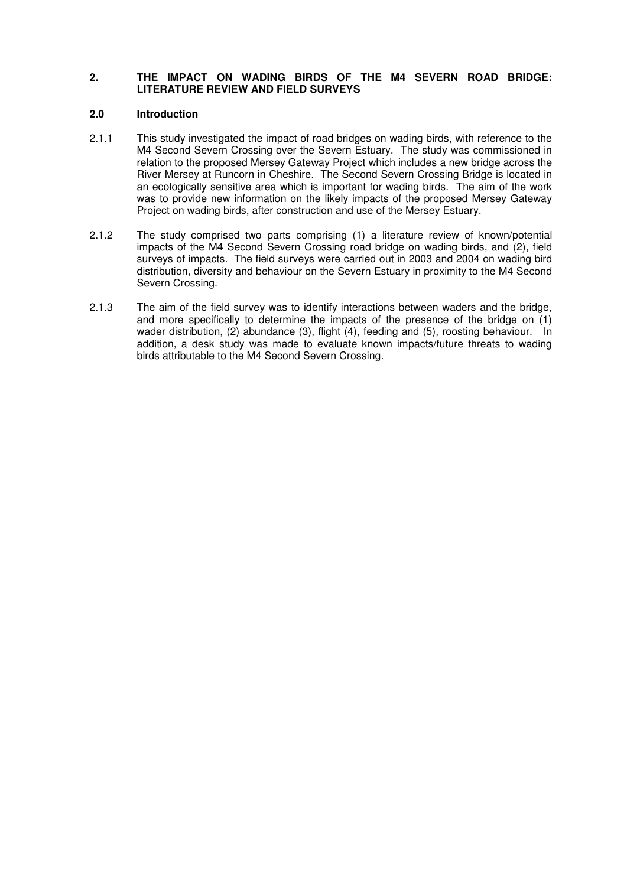### **2. THE IMPACT ON WADING BIRDS OF THE M4 SEVERN ROAD BRIDGE: LITERATURE REVIEW AND FIELD SURVEYS**

#### **2.0 Introduction**

- 2.1.1 This study investigated the impact of road bridges on wading birds, with reference to the M4 Second Severn Crossing over the Severn Estuary. The study was commissioned in relation to the proposed Mersey Gateway Project which includes a new bridge across the River Mersey at Runcorn in Cheshire. The Second Severn Crossing Bridge is located in an ecologically sensitive area which is important for wading birds. The aim of the work was to provide new information on the likely impacts of the proposed Mersey Gateway Project on wading birds, after construction and use of the Mersey Estuary.
- 2.1.2 The study comprised two parts comprising (1) a literature review of known/potential impacts of the M4 Second Severn Crossing road bridge on wading birds, and (2), field surveys of impacts. The field surveys were carried out in 2003 and 2004 on wading bird distribution, diversity and behaviour on the Severn Estuary in proximity to the M4 Second Severn Crossing.
- 2.1.3 The aim of the field survey was to identify interactions between waders and the bridge, and more specifically to determine the impacts of the presence of the bridge on (1) wader distribution, (2) abundance (3), flight (4), feeding and (5), roosting behaviour. In addition, a desk study was made to evaluate known impacts/future threats to wading birds attributable to the M4 Second Severn Crossing.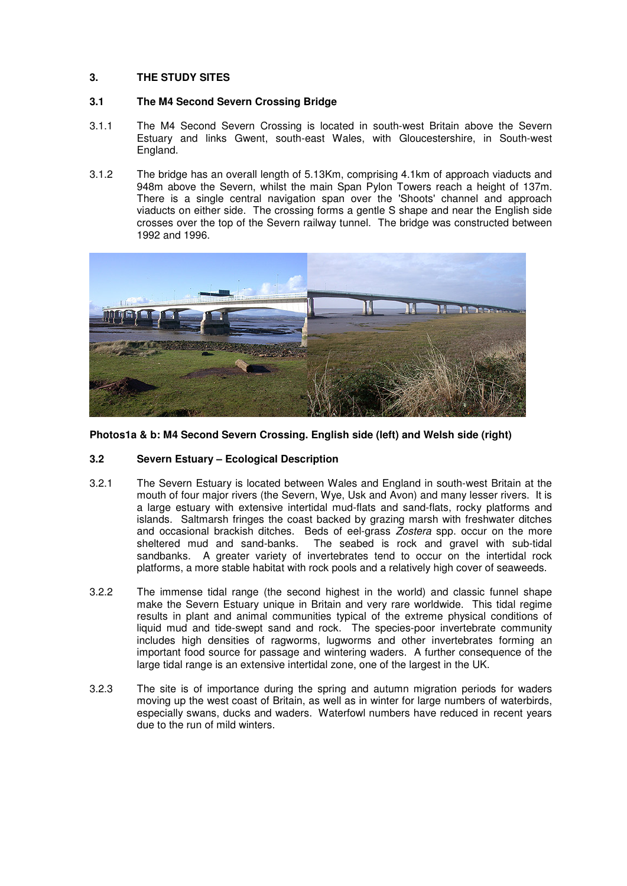# **3. THE STUDY SITES**

# **3.1 The M4 Second Severn Crossing Bridge**

- 3.1.1 The M4 Second Severn Crossing is located in south-west Britain above the Severn Estuary and links Gwent, south-east Wales, with Gloucestershire, in South-west England.
- 3.1.2 The bridge has an overall length of 5.13Km, comprising 4.1km of approach viaducts and 948m above the Severn, whilst the main Span Pylon Towers reach a height of 137m. There is a single central navigation span over the 'Shoots' channel and approach viaducts on either side. The crossing forms a gentle S shape and near the English side crosses over the top of the Severn railway tunnel. The bridge was constructed between 1992 and 1996.



**Photos1a & b: M4 Second Severn Crossing. English side (left) and Welsh side (right)** 

## **3.2 Severn Estuary – Ecological Description**

- 3.2.1 The Severn Estuary is located between Wales and England in south-west Britain at the mouth of four major rivers (the Severn, Wye, Usk and Avon) and many lesser rivers. It is a large estuary with extensive intertidal mud-flats and sand-flats, rocky platforms and islands. Saltmarsh fringes the coast backed by grazing marsh with freshwater ditches and occasional brackish ditches. Beds of eel-grass Zostera spp. occur on the more sheltered mud and sand-banks. The seabed is rock and gravel with sub-tidal sandbanks. A greater variety of invertebrates tend to occur on the intertidal rock platforms, a more stable habitat with rock pools and a relatively high cover of seaweeds.
- 3.2.2 The immense tidal range (the second highest in the world) and classic funnel shape make the Severn Estuary unique in Britain and very rare worldwide. This tidal regime results in plant and animal communities typical of the extreme physical conditions of liquid mud and tide-swept sand and rock. The species-poor invertebrate community includes high densities of ragworms, lugworms and other invertebrates forming an important food source for passage and wintering waders. A further consequence of the large tidal range is an extensive intertidal zone, one of the largest in the UK.
- 3.2.3 The site is of importance during the spring and autumn migration periods for waders moving up the west coast of Britain, as well as in winter for large numbers of waterbirds, especially swans, ducks and waders. Waterfowl numbers have reduced in recent years due to the run of mild winters.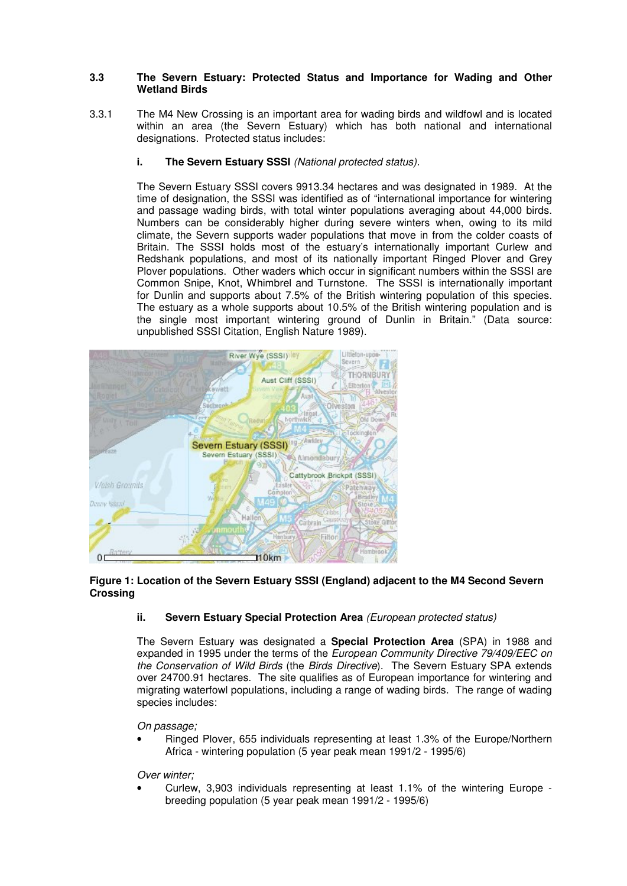## **3.3 The Severn Estuary: Protected Status and Importance for Wading and Other Wetland Birds**

3.3.1 The M4 New Crossing is an important area for wading birds and wildfowl and is located within an area (the Severn Estuary) which has both national and international designations. Protected status includes:

# **i.** The Severn Estuary SSSI (National protected status).

The Severn Estuary SSSI covers 9913.34 hectares and was designated in 1989. At the time of designation, the SSSI was identified as of "international importance for wintering and passage wading birds, with total winter populations averaging about 44,000 birds. Numbers can be considerably higher during severe winters when, owing to its mild climate, the Severn supports wader populations that move in from the colder coasts of Britain. The SSSI holds most of the estuary's internationally important Curlew and Redshank populations, and most of its nationally important Ringed Plover and Grey Plover populations. Other waders which occur in significant numbers within the SSSI are Common Snipe, Knot, Whimbrel and Turnstone. The SSSI is internationally important for Dunlin and supports about 7.5% of the British wintering population of this species. The estuary as a whole supports about 10.5% of the British wintering population and is the single most important wintering ground of Dunlin in Britain." (Data source: unpublished SSSI Citation, English Nature 1989).



## **Figure 1: Location of the Severn Estuary SSSI (England) adjacent to the M4 Second Severn Crossing**

## **ii. Severn Estuary Special Protection Area** (European protected status)

The Severn Estuary was designated a **Special Protection Area** (SPA) in 1988 and expanded in 1995 under the terms of the European Community Directive 79/409/EEC on the Conservation of Wild Birds (the Birds Directive). The Severn Estuary SPA extends over 24700.91 hectares. The site qualifies as of European importance for wintering and migrating waterfowl populations, including a range of wading birds. The range of wading species includes:

## On passage;

• Ringed Plover, 655 individuals representing at least 1.3% of the Europe/Northern Africa - wintering population (5 year peak mean 1991/2 - 1995/6)

## Over winter;

• Curlew, 3,903 individuals representing at least 1.1% of the wintering Europe breeding population (5 year peak mean 1991/2 - 1995/6)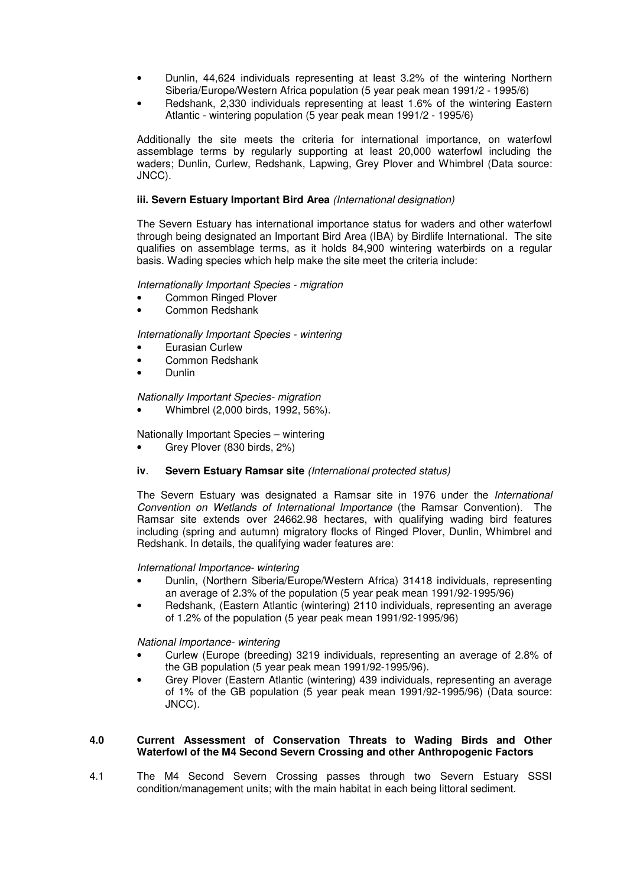- Dunlin, 44,624 individuals representing at least 3.2% of the wintering Northern Siberia/Europe/Western Africa population (5 year peak mean 1991/2 - 1995/6)
- Redshank, 2,330 individuals representing at least 1.6% of the wintering Eastern Atlantic - wintering population (5 year peak mean 1991/2 - 1995/6)

Additionally the site meets the criteria for international importance, on waterfowl assemblage terms by regularly supporting at least 20,000 waterfowl including the waders; Dunlin, Curlew, Redshank, Lapwing, Grey Plover and Whimbrel (Data source: JNCC).

#### **iii. Severn Estuary Important Bird Area** (International designation)

The Severn Estuary has international importance status for waders and other waterfowl through being designated an Important Bird Area (IBA) by Birdlife International. The site qualifies on assemblage terms, as it holds 84,900 wintering waterbirds on a regular basis. Wading species which help make the site meet the criteria include:

#### Internationally Important Species - migration

- Common Ringed Plover
- Common Redshank

Internationally Important Species - wintering

- Eurasian Curlew
- Common Redshank
- Dunlin

Nationally Important Species- migration

• Whimbrel (2,000 birds, 1992, 56%).

Nationally Important Species – wintering

• Grey Plover (830 birds, 2%)

## **iv**. **Severn Estuary Ramsar site** (International protected status)

The Severn Estuary was designated a Ramsar site in 1976 under the International Convention on Wetlands of International Importance (the Ramsar Convention). The Ramsar site extends over 24662.98 hectares, with qualifying wading bird features including (spring and autumn) migratory flocks of Ringed Plover, Dunlin, Whimbrel and Redshank. In details, the qualifying wader features are:

#### International Importance- wintering

- Dunlin, (Northern Siberia/Europe/Western Africa) 31418 individuals, representing an average of 2.3% of the population (5 year peak mean 1991/92-1995/96)
- Redshank, (Eastern Atlantic (wintering) 2110 individuals, representing an average of 1.2% of the population (5 year peak mean 1991/92-1995/96)

National Importance- wintering

- Curlew (Europe (breeding) 3219 individuals, representing an average of 2.8% of the GB population (5 year peak mean 1991/92-1995/96).
- Grey Plover (Eastern Atlantic (wintering) 439 individuals, representing an average of 1% of the GB population (5 year peak mean 1991/92-1995/96) (Data source: JNCC).

#### **4.0 Current Assessment of Conservation Threats to Wading Birds and Other Waterfowl of the M4 Second Severn Crossing and other Anthropogenic Factors**

4.1 The M4 Second Severn Crossing passes through two Severn Estuary SSSI condition/management units; with the main habitat in each being littoral sediment.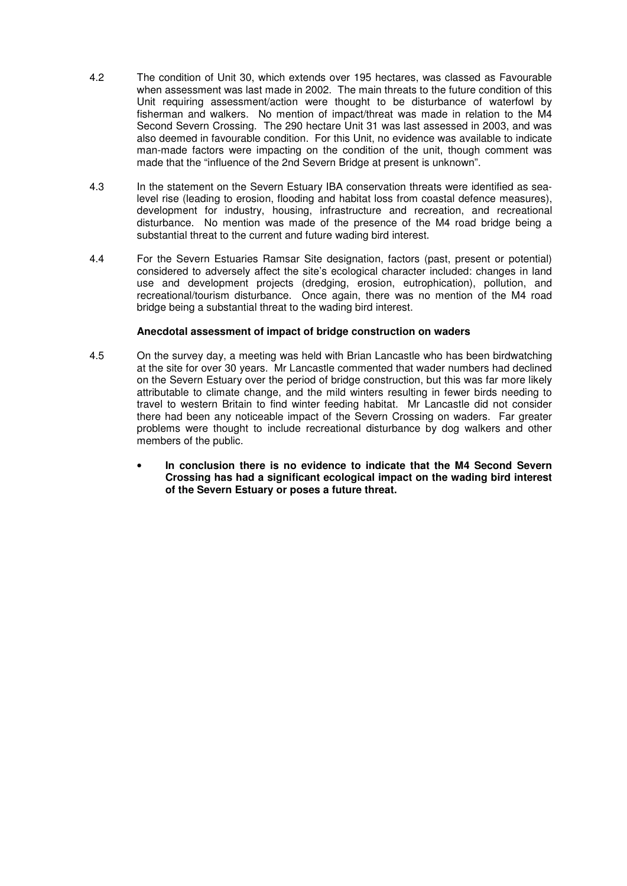- 4.2 The condition of Unit 30, which extends over 195 hectares, was classed as Favourable when assessment was last made in 2002. The main threats to the future condition of this Unit requiring assessment/action were thought to be disturbance of waterfowl by fisherman and walkers. No mention of impact/threat was made in relation to the M4 Second Severn Crossing. The 290 hectare Unit 31 was last assessed in 2003, and was also deemed in favourable condition. For this Unit, no evidence was available to indicate man-made factors were impacting on the condition of the unit, though comment was made that the "influence of the 2nd Severn Bridge at present is unknown".
- 4.3 In the statement on the Severn Estuary IBA conservation threats were identified as sealevel rise (leading to erosion, flooding and habitat loss from coastal defence measures), development for industry, housing, infrastructure and recreation, and recreational disturbance. No mention was made of the presence of the M4 road bridge being a substantial threat to the current and future wading bird interest.
- 4.4 For the Severn Estuaries Ramsar Site designation, factors (past, present or potential) considered to adversely affect the site's ecological character included: changes in land use and development projects (dredging, erosion, eutrophication), pollution, and recreational/tourism disturbance. Once again, there was no mention of the M4 road bridge being a substantial threat to the wading bird interest.

#### **Anecdotal assessment of impact of bridge construction on waders**

- 4.5 On the survey day, a meeting was held with Brian Lancastle who has been birdwatching at the site for over 30 years. Mr Lancastle commented that wader numbers had declined on the Severn Estuary over the period of bridge construction, but this was far more likely attributable to climate change, and the mild winters resulting in fewer birds needing to travel to western Britain to find winter feeding habitat. Mr Lancastle did not consider there had been any noticeable impact of the Severn Crossing on waders. Far greater problems were thought to include recreational disturbance by dog walkers and other members of the public.
	- **In conclusion there is no evidence to indicate that the M4 Second Severn Crossing has had a significant ecological impact on the wading bird interest of the Severn Estuary or poses a future threat.**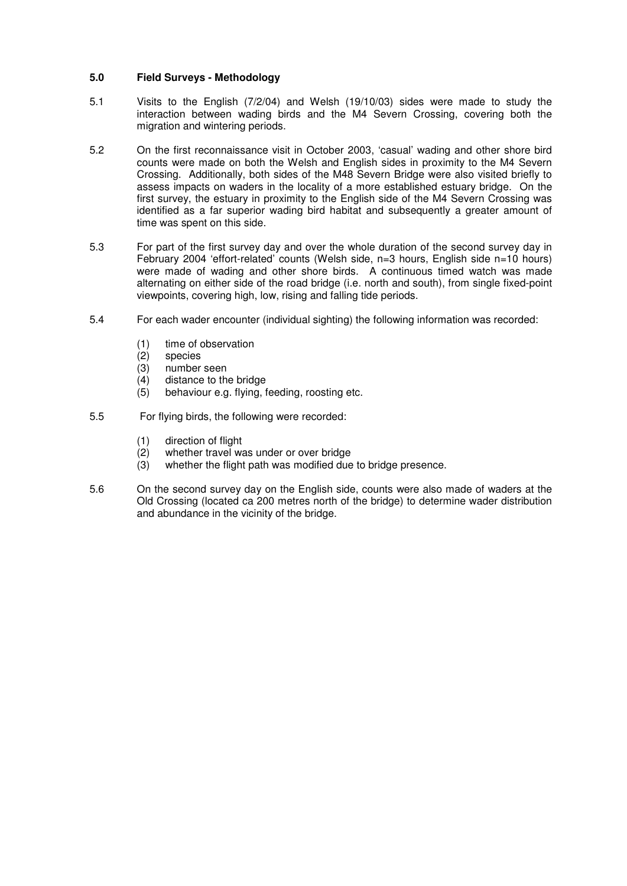# **5.0 Field Surveys - Methodology**

- 5.1 Visits to the English (7/2/04) and Welsh (19/10/03) sides were made to study the interaction between wading birds and the M4 Severn Crossing, covering both the migration and wintering periods.
- 5.2 On the first reconnaissance visit in October 2003, 'casual' wading and other shore bird counts were made on both the Welsh and English sides in proximity to the M4 Severn Crossing. Additionally, both sides of the M48 Severn Bridge were also visited briefly to assess impacts on waders in the locality of a more established estuary bridge. On the first survey, the estuary in proximity to the English side of the M4 Severn Crossing was identified as a far superior wading bird habitat and subsequently a greater amount of time was spent on this side.
- 5.3 For part of the first survey day and over the whole duration of the second survey day in February 2004 'effort-related' counts (Welsh side, n=3 hours, English side n=10 hours) were made of wading and other shore birds. A continuous timed watch was made alternating on either side of the road bridge (i.e. north and south), from single fixed-point viewpoints, covering high, low, rising and falling tide periods.
- 5.4 For each wader encounter (individual sighting) the following information was recorded:
	- (1) time of observation
	- (2) species
	- (3) number seen
	- (4) distance to the bridge
	- (5) behaviour e.g. flying, feeding, roosting etc.
- 5.5 For flying birds, the following were recorded:
	- (1) direction of flight
	- (2) whether travel was under or over bridge
	- (3) whether the flight path was modified due to bridge presence.
- 5.6 On the second survey day on the English side, counts were also made of waders at the Old Crossing (located ca 200 metres north of the bridge) to determine wader distribution and abundance in the vicinity of the bridge.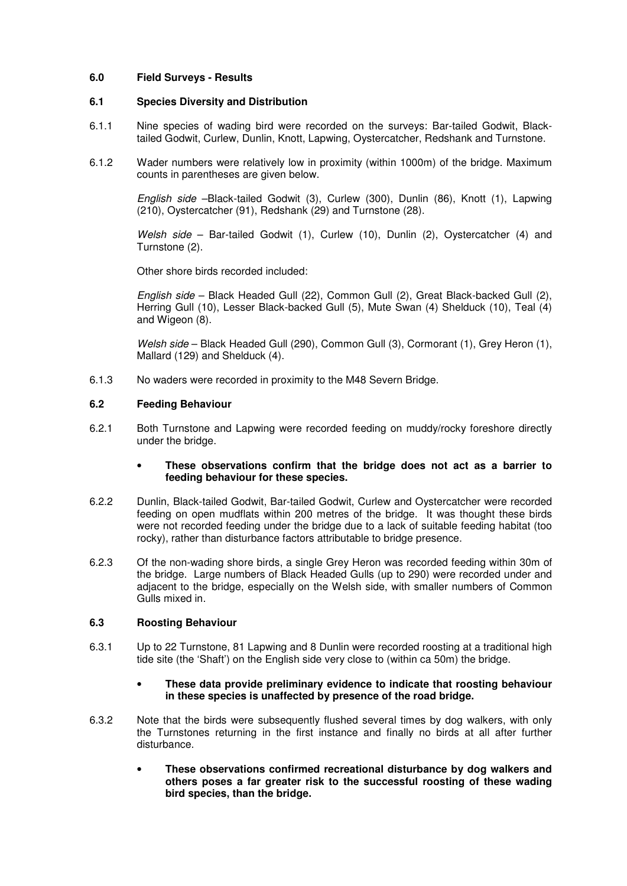# **6.0 Field Surveys - Results**

## **6.1 Species Diversity and Distribution**

- 6.1.1 Nine species of wading bird were recorded on the surveys: Bar-tailed Godwit, Blacktailed Godwit, Curlew, Dunlin, Knott, Lapwing, Oystercatcher, Redshank and Turnstone.
- 6.1.2 Wader numbers were relatively low in proximity (within 1000m) of the bridge. Maximum counts in parentheses are given below.

English side –Black-tailed Godwit (3), Curlew (300), Dunlin (86), Knott (1), Lapwing (210), Oystercatcher (91), Redshank (29) and Turnstone (28).

Welsh side – Bar-tailed Godwit (1), Curlew (10), Dunlin (2), Oystercatcher (4) and Turnstone (2).

Other shore birds recorded included:

English side – Black Headed Gull (22), Common Gull (2), Great Black-backed Gull (2), Herring Gull (10), Lesser Black-backed Gull (5), Mute Swan (4) Shelduck (10), Teal (4) and Wigeon (8).

Welsh side – Black Headed Gull (290), Common Gull (3), Cormorant (1), Grey Heron (1), Mallard (129) and Shelduck (4).

6.1.3 No waders were recorded in proximity to the M48 Severn Bridge.

#### **6.2 Feeding Behaviour**

6.2.1 Both Turnstone and Lapwing were recorded feeding on muddy/rocky foreshore directly under the bridge.

#### • **These observations confirm that the bridge does not act as a barrier to feeding behaviour for these species.**

- 6.2.2 Dunlin, Black-tailed Godwit, Bar-tailed Godwit, Curlew and Oystercatcher were recorded feeding on open mudflats within 200 metres of the bridge. It was thought these birds were not recorded feeding under the bridge due to a lack of suitable feeding habitat (too rocky), rather than disturbance factors attributable to bridge presence.
- 6.2.3 Of the non-wading shore birds, a single Grey Heron was recorded feeding within 30m of the bridge. Large numbers of Black Headed Gulls (up to 290) were recorded under and adjacent to the bridge, especially on the Welsh side, with smaller numbers of Common Gulls mixed in.

## **6.3 Roosting Behaviour**

6.3.1 Up to 22 Turnstone, 81 Lapwing and 8 Dunlin were recorded roosting at a traditional high tide site (the 'Shaft') on the English side very close to (within ca 50m) the bridge.

#### • **These data provide preliminary evidence to indicate that roosting behaviour in these species is unaffected by presence of the road bridge.**

- 6.3.2 Note that the birds were subsequently flushed several times by dog walkers, with only the Turnstones returning in the first instance and finally no birds at all after further disturbance.
	- **These observations confirmed recreational disturbance by dog walkers and others poses a far greater risk to the successful roosting of these wading bird species, than the bridge.**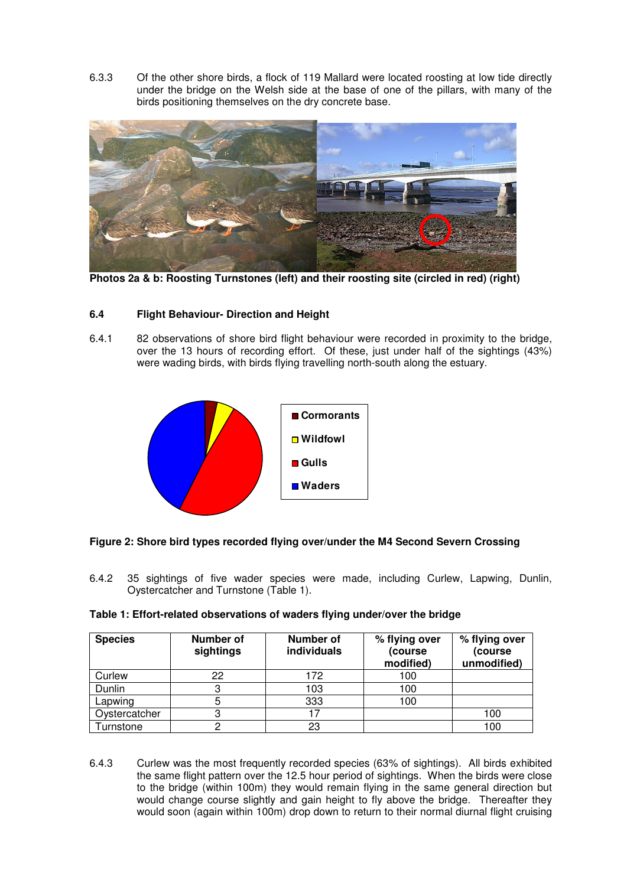6.3.3 Of the other shore birds, a flock of 119 Mallard were located roosting at low tide directly under the bridge on the Welsh side at the base of one of the pillars, with many of the birds positioning themselves on the dry concrete base.



**Photos 2a & b: Roosting Turnstones (left) and their roosting site (circled in red) (right)** 

# **6.4 Flight Behaviour- Direction and Height**

6.4.1 82 observations of shore bird flight behaviour were recorded in proximity to the bridge, over the 13 hours of recording effort. Of these, just under half of the sightings (43%) were wading birds, with birds flying travelling north-south along the estuary.



# **Figure 2: Shore bird types recorded flying over/under the M4 Second Severn Crossing**

6.4.2 35 sightings of five wader species were made, including Curlew, Lapwing, Dunlin, Oystercatcher and Turnstone (Table 1).

| Table 1: Effort-related observations of waders flying under/over the bridge |  |  |  |
|-----------------------------------------------------------------------------|--|--|--|
|                                                                             |  |  |  |

| <b>Species</b>        | Number of<br>sightings | Number of<br>individuals | % flying over<br>(course<br>modified) | % flying over<br>(course<br>unmodified) |
|-----------------------|------------------------|--------------------------|---------------------------------------|-----------------------------------------|
| Curlew                | 22                     | 172                      | 100                                   |                                         |
| Dunlin                |                        | 103                      | 100                                   |                                         |
| Lapwing               | 5                      | 333                      | 100                                   |                                         |
| Oystercatcher         | っ                      | 17                       |                                       | 100                                     |
| urnstone <sup>-</sup> |                        | 23                       |                                       | 100                                     |

6.4.3 Curlew was the most frequently recorded species (63% of sightings). All birds exhibited the same flight pattern over the 12.5 hour period of sightings. When the birds were close to the bridge (within 100m) they would remain flying in the same general direction but would change course slightly and gain height to fly above the bridge. Thereafter they would soon (again within 100m) drop down to return to their normal diurnal flight cruising